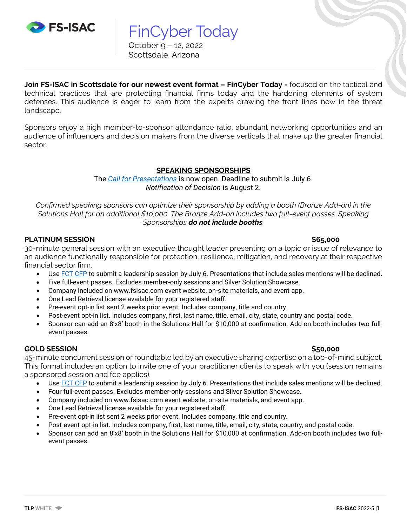

FinCyber Today October 9 – 12, 2022 Scottsdale, Arizona

**Join FS-ISAC in Scottsdale for our newest event format – FinCyber Today -** focused on the tactical and technical practices that are protecting financial firms today and the hardening elements of system defenses. This audience is eager to learn from the experts drawing the front lines now in the threat landscape.

Sponsors enjoy a high member-to-sponsor attendance ratio, abundant networking opportunities and an audience of influencers and decision makers from the diverse verticals that make up the greater financial sector.

## **SPEAKING SPONSORSHIPS**

The *[Call for Presentations](https://fs-isacfct22cfp.hubb.me/)* is now open. Deadline to submit is July 6. *Notification of Decision* is August 2.

*Confirmed speaking sponsors can optimize their sponsorship by adding a booth (Bronze Add-on) in the Solutions Hall for an additional \$10,000. The Bronze Add-on includes two full-event passes. Speaking Sponsorships do not include booths.*

## **PLATINUM SESSION \$65,000**

30-minute general session with an executive thought leader presenting on a topic or issue of relevance to an audience functionally responsible for protection, resilience, mitigation, and recovery at their respective financial sector firm.

- Use [FCT CFP](https://fs-isacfct22cfp.hubb.me/) to submit a leadership session by July 6. Presentations that include sales mentions will be declined.
- Five full-event passes. Excludes member-only sessions and Silver Solution Showcase.
- Company included on www.fsisac.com event website, on-site materials, and event app.
- One Lead Retrieval license available for your registered staff.
- Pre-event opt-in list sent 2 weeks prior event. Includes company, title and country.
- Post-event opt-in list. Includes company, first, last name, title, email, city, state, country and postal code.
- Sponsor can add an 8'x8' booth in the Solutions Hall for \$10,000 at confirmation. Add-on booth includes two fullevent passes.

## **GOLD SESSION \$50,000**

45-minute concurrent session or roundtable led by an executive sharing expertise on a top-of-mind subject. This format includes an option to invite one of your practitioner clients to speak with you (session remains a sponsored session and fee applies).

- Use [FCT CFP](https://fs-isacfct22cfp.hubb.me/) to submit a leadership session by July 6. Presentations that include sales mentions will be declined.
- Four full-event passes. Excludes member-only sessions and Silver Solution Showcase.
- Company included on www.fsisac.com event website, on-site materials, and event app.
- One Lead Retrieval license available for your registered staff.
- Pre-event opt-in list sent 2 weeks prior event. Includes company, title and country.
- Post-event opt-in list. Includes company, first, last name, title, email, city, state, country, and postal code.
- Sponsor can add an 8'x8' booth in the Solutions Hall for \$10,000 at confirmation. Add-on booth includes two fullevent passes.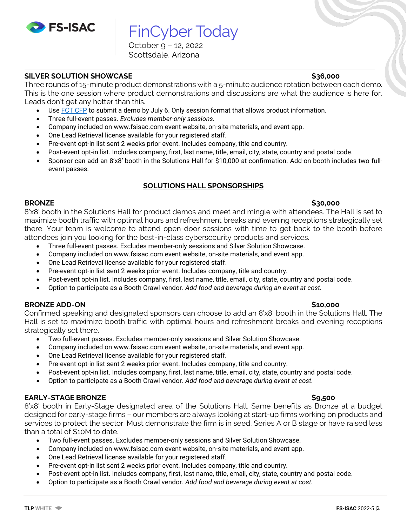

FinCyber Today

October 9 – 12, 2022 Scottsdale, Arizona

## **SILVER SOLUTION SHOWCASE \$36,000**

Three rounds of 15-minute product demonstrations with a 5-minute audience rotation between each demo. This is the one session where product demonstrations and discussions are what the audience is here for. Leads don't get any hotter than this.

- Use [FCT CFP](https://fs-isacfct22cfp.hubb.me/) to submit a demo by July 6. Only session format that allows product information.
- Three full-event passes. *Excludes member-only sessions.*
- Company included on www.fsisac.com event website, on-site materials, and event app.
- One Lead Retrieval license available for your registered staff.
- Pre-event opt-in list sent 2 weeks prior event. Includes company, title and country.
- Post-event opt-in list. Includes company, first, last name, title, email, city, state, country and postal code.
- Sponsor can add an 8'x8' booth in the Solutions Hall for \$10,000 at confirmation. Add-on booth includes two fullevent passes.

# **SOLUTIONS HALL SPONSORSHIPS**

### **BRONZE \$30,000**

8'x8' booth in the Solutions Hall for product demos and meet and mingle with attendees. The Hall is set to maximize booth traffic with optimal hours and refreshment breaks and evening receptions strategically set there. Your team is welcome to attend open-door sessions with time to get back to the booth before attendees join you looking for the best-in-class cybersecurity products and services.

- Three full-event passes. Excludes member-only sessions and Silver Solution Showcase.
- Company included on www.fsisac.com event website, on-site materials, and event app.
- One Lead Retrieval license available for your registered staff.
- Pre-event opt-in list sent 2 weeks prior event. Includes company, title and country.
- Post-event opt-in list. Includes company, first, last name, title, email, city, state, country and postal code.
- Option to participate as a Booth Crawl vendor. *Add food and beverage during an event at cost.*

### **BRONZE ADD-ON \$10,000**

Confirmed speaking and designated sponsors can choose to add an 8'x8' booth in the Solutions Hall. The Hall is set to maximize booth traffic with optimal hours and refreshment breaks and evening receptions strategically set there.

- Two full-event passes. Excludes member-only sessions and Silver Solution Showcase.
- Company included on www.fsisac.com event website, on-site materials, and event app.
- One Lead Retrieval license available for your registered staff.
- Pre-event opt-in list sent 2 weeks prior event. Includes company, title and country.
- Post-event opt-in list. Includes company, first, last name, title, email, city, state, country and postal code.
- Option to participate as a Booth Crawl vendor. *Add food and beverage during event at cost.*

## **EARLY-STAGE BRONZE \$9,500**

8'x8' booth in Early-Stage designated area of the Solutions Hall. Same benefits as Bronze at a budget designed for early-stage firms – our members are always looking at start-up firms working on products and services to protect the sector. Must demonstrate the firm is in seed, Series A or B stage or have raised less than a total of \$10M to date.

- Two full-event passes. Excludes member-only sessions and Silver Solution Showcase.
- Company included on www.fsisac.com event website, on-site materials, and event app.
- One Lead Retrieval license available for your registered staff.
- Pre-event opt-in list sent 2 weeks prior event. Includes company, title and country.
- Post-event opt-in list. Includes company, first, last name, title, email, city, state, country and postal code.
- Option to participate as a Booth Crawl vendor. *Add food and beverage during event at cost.*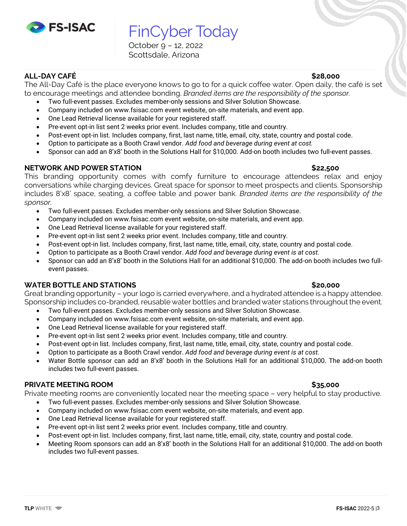

FinCyber Today October 9 – 12, 2022 Scottsdale, Arizona

# **ALL-DAY CAFÉ \$28,000**

The All-Day Café is the place everyone knows to go to for a quick coffee water. Open daily, the café is set to encourage meetings and attendee bonding. *Branded items are the responsibility of the sponsor.*

- Two full-event passes. Excludes member-only sessions and Silver Solution Showcase.
- Company included on www.fsisac.com event website, on-site materials, and event app.
- One Lead Retrieval license available for your registered staff.
- Pre-event opt-in list sent 2 weeks prior event. Includes company, title and country.
- Post-event opt-in list. Includes company, first, last name, title, email, city, state, country and postal code.
- Option to participate as a Booth Crawl vendor. *Add food and beverage during event at cost.*
- Sponsor can add an 8'x8' booth in the Solutions Hall for \$10,000. Add-on booth includes two full-event passes.

## **NETWORK AND POWER STATION \$22,500**

This branding opportunity comes with comfy furniture to encourage attendees relax and enjoy conversations while charging devices. Great space for sponsor to meet prospects and clients. Sponsorship includes 8'x8' space, seating, a coffee table and power bank. *Branded items are the responsibility of the sponsor.*

- Two full-event passes. Excludes member-only sessions and Silver Solution Showcase.
- Company included on www.fsisac.com event website, on-site materials, and event app.
- One Lead Retrieval license available for your registered staff.
- Pre-event opt-in list sent 2 weeks prior event. Includes company, title and country.
- Post-event opt-in list. Includes company, first, last name, title, email, city, state, country and postal code.
- Option to participate as a Booth Crawl vendor. *Add food and beverage during event is at cost.*
- Sponsor can add an 8'x8' booth in the Solutions Hall for an additional \$10,000. The add-on booth includes two fullevent passes.

# **WATER BOTTLE AND STATIONS \$20,000**

Great branding opportunity – your logo is carried everywhere, and a hydrated attendee is a happy attendee. Sponsorship includes co-branded, reusable water bottles and branded water stations throughout the event.

- Two full-event passes. Excludes member-only sessions and Silver Solution Showcase.
- Company included on www.fsisac.com event website, on-site materials, and event app.
- One Lead Retrieval license available for your registered staff.
- Pre-event opt-in list sent 2 weeks prior event. Includes company, title and country.
- Post-event opt-in list. Includes company, first, last name, title, email, city, state, country and postal code.
- Option to participate as a Booth Crawl vendor. *Add food and beverage during event is at cost.*
- Water Bottle sponsor can add an 8'x8' booth in the Solutions Hall for an additional \$10,000. The add-on booth includes two full-event passes.

## **PRIVATE MEETING ROOM \$35,000**

Private meeting rooms are conveniently located near the meeting space – very helpful to stay productive.

- Two full-event passes. Excludes member-only sessions and Silver Solution Showcase.
- Company included on www.fsisac.com event website, on-site materials, and event app.
- One Lead Retrieval license available for your registered staff.
- Pre-event opt-in list sent 2 weeks prior event. Includes company, title and country.
- Post-event opt-in list. Includes company, first, last name, title, email, city, state, country and postal code.
- Meeting Room sponsors can add an 8'x8' booth in the Solutions Hall for an additional \$10,000. The add-on booth includes two full-event passes.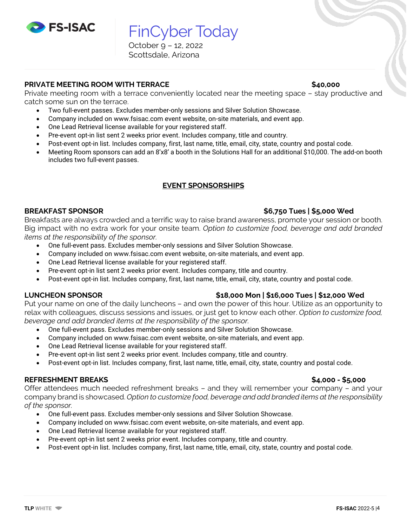

FinCyber Today October 9 – 12, 2022

Scottsdale, Arizona

### **PRIVATE MEETING ROOM WITH TERRACE \$40,000**

Private meeting room with a terrace conveniently located near the meeting space – stay productive and catch some sun on the terrace.

- Two full-event passes. Excludes member-only sessions and Silver Solution Showcase.
	- Company included on www.fsisac.com event website, on-site materials, and event app.
- One Lead Retrieval license available for your registered staff.
- Pre-event opt-in list sent 2 weeks prior event. Includes company, title and country.
- Post-event opt-in list. Includes company, first, last name, title, email, city, state, country and postal code.
- Meeting Room sponsors can add an 8'x8' a booth in the Solutions Hall for an additional \$10,000. The add-on booth includes two full-event passes.

# **EVENT SPONSORSHIPS**

### **BREAKFAST SPONSOR \$6,750 Tues | \$5,000 Wed**

Breakfasts are always crowded and a terrific way to raise brand awareness, promote your session or booth. Big impact with no extra work for your onsite team. *Option to customize food, beverage and add branded items at the responsibility of the sponsor.*

- One full-event pass. Excludes member-only sessions and Silver Solution Showcase.
- Company included on www.fsisac.com event website, on-site materials, and event app.
- One Lead Retrieval license available for your registered staff.
- Pre-event opt-in list sent 2 weeks prior event. Includes company, title and country.
- Post-event opt-in list. Includes company, first, last name, title, email, city, state, country and postal code.

## **LUNCHEON SPONSOR \$18,000 Mon | \$16,000 Tues | \$12,000 Wed**

Put your name on one of the daily luncheons – and own the power of this hour. Utilize as an opportunity to relax with colleagues, discuss sessions and issues, or just get to know each other. *Option to customize food, beverage and add branded items at the responsibility of the sponsor.*

- One full-event pass. Excludes member-only sessions and Silver Solution Showcase.
- Company included on www.fsisac.com event website, on-site materials, and event app.
- One Lead Retrieval license available for your registered staff.
- Pre-event opt-in list sent 2 weeks prior event. Includes company, title and country.
- Post-event opt-in list. Includes company, first, last name, title, email, city, state, country and postal code.

## **REFRESHMENT BREAKS \$4,000 - \$5,000**

Offer attendees much needed refreshment breaks – and they will remember your company – and your company brand is showcased. *Option to customize food, beverage and add branded items at the responsibility of the sponsor.*

- One full-event pass. Excludes member-only sessions and Silver Solution Showcase.
- Company included on www.fsisac.com event website, on-site materials, and event app.
- One Lead Retrieval license available for your registered staff.
- Pre-event opt-in list sent 2 weeks prior event. Includes company, title and country.
- Post-event opt-in list. Includes company, first, last name, title, email, city, state, country and postal code.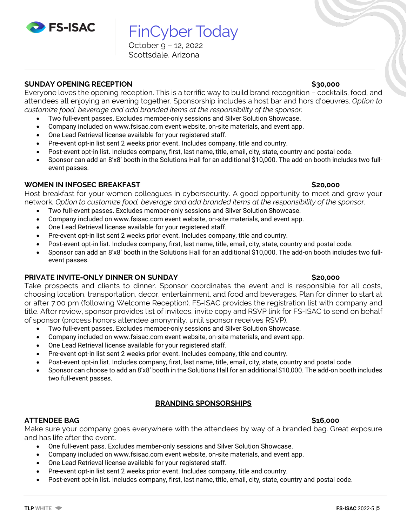

FinCyber Today

October 9 – 12, 2022 Scottsdale, Arizona

## **SUNDAY OPENING RECEPTION \$30,000**

Everyone loves the opening reception. This is a terrific way to build brand recognition – cocktails, food, and attendees all enjoying an evening together. Sponsorship includes a host bar and hors d'oeuvres. *Option to customize food, beverage and add branded items at the responsibility of the sponsor.*

- Two full-event passes. Excludes member-only sessions and Silver Solution Showcase.
- Company included on www.fsisac.com event website, on-site materials, and event app.
- One Lead Retrieval license available for your registered staff.
- Pre-event opt-in list sent 2 weeks prior event. Includes company, title and country.
- Post-event opt-in list. Includes company, first, last name, title, email, city, state, country and postal code.
- Sponsor can add an 8'x8' booth in the Solutions Hall for an additional \$10,000. The add-on booth includes two fullevent passes.

# **WOMEN IN INFOSEC BREAKFAST \$20,000 \$20,000**

Host breakfast for your women colleagues in cybersecurity. A good opportunity to meet and grow your network*. Option to customize food, beverage and add branded items at the responsibility of the sponsor.*

- Two full-event passes. Excludes member-only sessions and Silver Solution Showcase.
- Company included on www.fsisac.com event website, on-site materials, and event app.
- One Lead Retrieval license available for your registered staff.
- Pre-event opt-in list sent 2 weeks prior event. Includes company, title and country.
- Post-event opt-in list. Includes company, first, last name, title, email, city, state, country and postal code.
- Sponsor can add an 8'x8' booth in the Solutions Hall for an additional \$10,000. The add-on booth includes two fullevent passes.

## **PRIVATE INVITE-ONLY DINNER ON SUNDAY \$20,000**

Take prospects and clients to dinner. Sponsor coordinates the event and is responsible for all costs, choosing location, transportation, decor, entertainment, and food and beverages. Plan for dinner to start at or after 7:00 pm (following Welcome Reception). FS-ISAC provides the registration list with company and title. After review, sponsor provides list of invitees, invite copy and RSVP link for FS-ISAC to send on behalf of sponsor (process honors attendee anonymity, until sponsor receives RSVP).

- Two full-event passes. Excludes member-only sessions and Silver Solution Showcase.
- Company included on www.fsisac.com event website, on-site materials, and event app.
- One Lead Retrieval license available for your registered staff.
- Pre-event opt-in list sent 2 weeks prior event. Includes company, title and country.
- Post-event opt-in list. Includes company, first, last name, title, email, city, state, country and postal code.
- Sponsor can choose to add an 8'x8' booth in the Solutions Hall for an additional \$10,000. The add-on booth includes two full-event passes.

# **BRANDING SPONSORSHIPS**

# **ATTENDEE BAG \$16,000**

Make sure your company goes everywhere with the attendees by way of a branded bag. Great exposure and has life after the event.

- One full-event pass. Excludes member-only sessions and Silver Solution Showcase.
- Company included on www.fsisac.com event website, on-site materials, and event app.
- One Lead Retrieval license available for your registered staff.
- Pre-event opt-in list sent 2 weeks prior event. Includes company, title and country.
- Post-event opt-in list. Includes company, first, last name, title, email, city, state, country and postal code.

### **TLP WHITE FS-ISAC** 2022-5 |5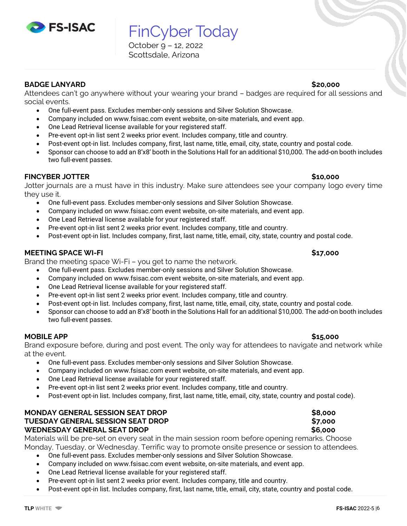FinCyber Today October 9 – 12, 2022 Scottsdale, Arizona

**BADGE LANYARD \$20,000**

Attendees can't go anywhere without your wearing your brand – badges are required for all sessions and social events.

- One full-event pass. Excludes member-only sessions and Silver Solution Showcase.
- Company included on www.fsisac.com event website, on-site materials, and event app.
- One Lead Retrieval license available for your registered staff.
- Pre-event opt-in list sent 2 weeks prior event. Includes company, title and country.
- Post-event opt-in list. Includes company, first, last name, title, email, city, state, country and postal code.
- Sponsor can choose to add an 8'x8' booth in the Solutions Hall for an additional \$10,000. The add-on booth includes two full-event passes.

### **FINCYBER JOTTER \$10,000**

Jotter journals are a must have in this industry. Make sure attendees see your company logo every time they use it.

- One full-event pass. Excludes member-only sessions and Silver Solution Showcase.
- Company included on www.fsisac.com event website, on-site materials, and event app.
- One Lead Retrieval license available for your registered staff.
- Pre-event opt-in list sent 2 weeks prior event. Includes company, title and country.
- Post-event opt-in list. Includes company, first, last name, title, email, city, state, country and postal code.

### **MEETING SPACE WI-FI \$17,000**

Brand the meeting space Wi-Fi – you get to name the network.

- One full-event pass. Excludes member-only sessions and Silver Solution Showcase.
- Company included on www.fsisac.com event website, on-site materials, and event app.
- One Lead Retrieval license available for your registered staff.
- Pre-event opt-in list sent 2 weeks prior event. Includes company, title and country.
- Post-event opt-in list. Includes company, first, last name, title, email, city, state, country and postal code.
- Sponsor can choose to add an 8'x8' booth in the Solutions Hall for an additional \$10,000. The add-on booth includes two full-event passes.

### **MOBILE APP \$15,000**

Brand exposure before, during and post event. The only way for attendees to navigate and network while at the event.

- One full-event pass. Excludes member-only sessions and Silver Solution Showcase.
- Company included on www.fsisac.com event website, on-site materials, and event app.
- One Lead Retrieval license available for your registered staff.
- Pre-event opt-in list sent 2 weeks prior event. Includes company, title and country.
- Post-event opt-in list. Includes company, first, last name, title, email, city, state, country and postal code).

## **MONDAY GENERAL SESSION SEAT DROP \$8,000 TUESDAY GENERAL SESSION SEAT DROP \$7,000 WEDNESDAY GENERAL SEAT DROP \$6,000**

Materials will be pre-set on every seat in the main session room before opening remarks. Choose Monday, Tuesday, or Wednesday. Terrific way to promote onsite presence or session to attendees.

- One full-event pass. Excludes member-only sessions and Silver Solution Showcase.
- Company included on www.fsisac.com event website, on-site materials, and event app.
- One Lead Retrieval license available for your registered staff.
- Pre-event opt-in list sent 2 weeks prior event. Includes company, title and country.
- Post-event opt-in list. Includes company, first, last name, title, email, city, state, country and postal code.